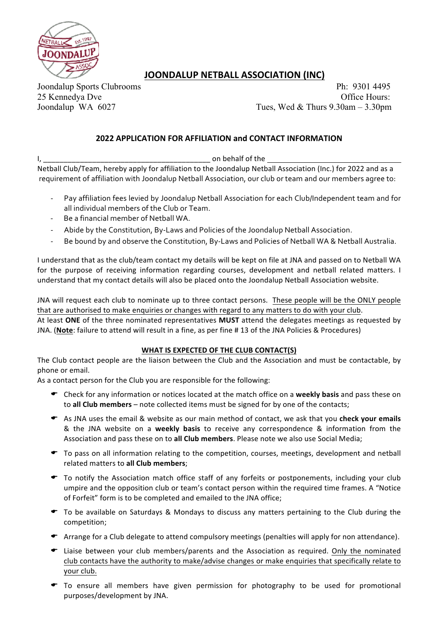

## **JOONDALUP NETBALL ASSOCIATION (INC)**

Joondalup Sports Clubrooms Ph: 9301 4495 25 Kennedya Dve Office Hours: Joondalup WA 6027 Tues, Wed & Thurs 9.30am – 3.30pm

## **2022 APPLICATION FOR AFFILIATION and CONTACT INFORMATION**

I, \_\_\_\_\_\_\_\_\_\_\_\_\_\_\_\_\_\_\_\_\_\_\_\_\_\_\_\_\_\_\_\_\_\_\_\_\_\_\_\_\_ on behalf of the 

Netball Club/Team, hereby apply for affiliation to the Joondalup Netball Association (Inc.) for 2022 and as a requirement of affiliation with Joondalup Netball Association, our club or team and our members agree to:

- Pay affiliation fees levied by Joondalup Netball Association for each Club/Independent team and for all individual members of the Club or Team.
- Be a financial member of Netball WA.
- Abide by the Constitution, By-Laws and Policies of the Joondalup Netball Association.
- Be bound by and observe the Constitution, By-Laws and Policies of Netball WA & Netball Australia.

I understand that as the club/team contact my details will be kept on file at JNA and passed on to Netball WA for the purpose of receiving information regarding courses, development and netball related matters. I understand that my contact details will also be placed onto the Joondalup Netball Association website.

JNA will request each club to nominate up to three contact persons. These people will be the ONLY people that are authorised to make enquiries or changes with regard to any matters to do with your club.

At least ONE of the three nominated representatives MUST attend the delegates meetings as requested by JNA. (Note: failure to attend will result in a fine, as per fine # 13 of the JNA Policies & Procedures)

## WHAT IS EXPECTED OF THE CLUB CONTACT(S)

The Club contact people are the liaison between the Club and the Association and must be contactable, by phone or email.

As a contact person for the Club you are responsible for the following:

- ← Check for any information or notices located at the match office on a weekly basis and pass these on to **all Club members** – note collected items must be signed for by one of the contacts;
- E As JNA uses the email & website as our main method of contact, we ask that you check your emails & the JNA website on a weekly basis to receive any correspondence & information from the Association and pass these on to all Club members. Please note we also use Social Media;
- $\bullet$  To pass on all information relating to the competition, courses, meetings, development and netball related matters to **all Club members**;
- $\bullet$  To notify the Association match office staff of any forfeits or postponements, including your club umpire and the opposition club or team's contact person within the required time frames. A "Notice of Forfeit" form is to be completed and emailed to the JNA office;
- To be available on Saturdays & Mondays to discuss any matters pertaining to the Club during the competition;
- $\bullet$  Arrange for a Club delegate to attend compulsory meetings (penalties will apply for non attendance).
- $\bullet$  Liaise between your club members/parents and the Association as required. Only the nominated club contacts have the authority to make/advise changes or make enquiries that specifically relate to your club.
- $\bullet$  To ensure all members have given permission for photography to be used for promotional purposes/development by JNA.